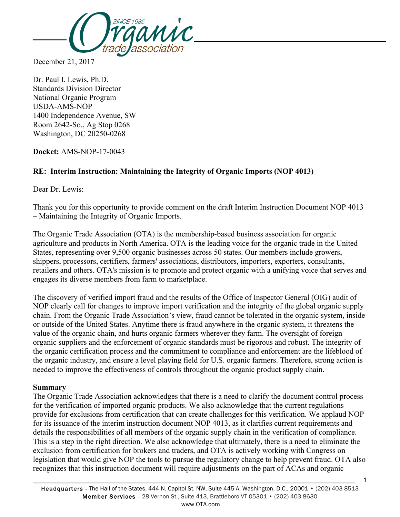

December 21, 2017

Dr. Paul I. Lewis, Ph.D. Standards Division Director National Organic Program USDA-AMS-NOP 1400 Independence Avenue, SW Room 2642-So., Ag Stop 0268 Washington, DC 20250-0268

**Docket:** AMS-NOP-17-0043

## **RE: Interim Instruction: Maintaining the Integrity of Organic Imports (NOP 4013)**

Dear Dr. Lewis:

Thank you for this opportunity to provide comment on the draft Interim Instruction Document NOP 4013 – Maintaining the Integrity of Organic Imports.

The Organic Trade Association (OTA) is the membership-based business association for organic agriculture and products in North America. OTA is the leading voice for the organic trade in the United States, representing over 9,500 organic businesses across 50 states. Our members include growers, shippers, processors, certifiers, farmers' associations, distributors, importers, exporters, consultants, retailers and others. OTA's mission is to promote and protect organic with a unifying voice that serves and engages its diverse members from farm to marketplace.

The discovery of verified import fraud and the results of the Office of Inspector General (OIG) audit of NOP clearly call for changes to improve import verification and the integrity of the global organic supply chain. From the Organic Trade Association's view, fraud cannot be tolerated in the organic system, inside or outside of the United States. Anytime there is fraud anywhere in the organic system, it threatens the value of the organic chain, and hurts organic farmers wherever they farm. The oversight of foreign organic suppliers and the enforcement of organic standards must be rigorous and robust. The integrity of the organic certification process and the commitment to compliance and enforcement are the lifeblood of the organic industry, and ensure a level playing field for U.S. organic farmers. Therefore, strong action is needed to improve the effectiveness of controls throughout the organic product supply chain.

#### **Summary**

The Organic Trade Association acknowledges that there is a need to clarify the document control process for the verification of imported organic products. We also acknowledge that the current regulations provide for exclusions from certification that can create challenges for this verification. We applaud NOP for its issuance of the interim instruction document NOP 4013, as it clarifies current requirements and details the responsibilities of all members of the organic supply chain in the verification of compliance. This is a step in the right direction. We also acknowledge that ultimately, there is a need to eliminate the exclusion from certification for brokers and traders, and OTA is actively working with Congress on legislation that would give NOP the tools to pursue the regulatory change to help prevent fraud. OTA also recognizes that this instruction document will require adjustments on the part of ACAs and organic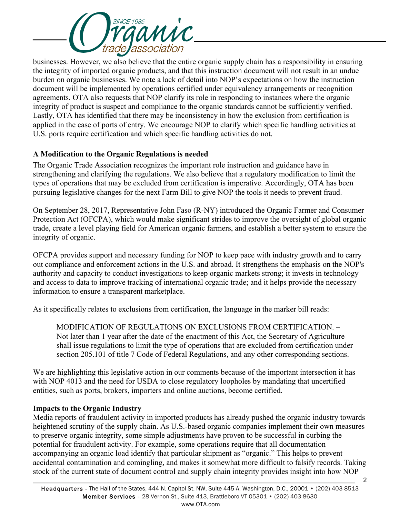

businesses. However, we also believe that the entire organic supply chain has a responsibility in ensuring the integrity of imported organic products, and that this instruction document will not result in an undue burden on organic businesses. We note a lack of detail into NOP's expectations on how the instruction document will be implemented by operations certified under equivalency arrangements or recognition agreements. OTA also requests that NOP clarify its role in responding to instances where the organic integrity of product is suspect and compliance to the organic standards cannot be sufficiently verified. Lastly, OTA has identified that there may be inconsistency in how the exclusion from certification is applied in the case of ports of entry. We encourage NOP to clarify which specific handling activities at U.S. ports require certification and which specific handling activities do not.

### **A Modification to the Organic Regulations is needed**

The Organic Trade Association recognizes the important role instruction and guidance have in strengthening and clarifying the regulations. We also believe that a regulatory modification to limit the types of operations that may be excluded from certification is imperative. Accordingly, OTA has been pursuing legislative changes for the next Farm Bill to give NOP the tools it needs to prevent fraud.

On September 28, 2017, Representative John Faso (R-NY) introduced the Organic Farmer and Consumer Protection Act (OFCPA), which would make significant strides to improve the oversight of global organic trade, create a level playing field for American organic farmers, and establish a better system to ensure the integrity of organic.

OFCPA provides support and necessary funding for NOP to keep pace with industry growth and to carry out compliance and enforcement actions in the U.S. and abroad. It strengthens the emphasis on the NOP's authority and capacity to conduct investigations to keep organic markets strong; it invests in technology and access to data to improve tracking of international organic trade; and it helps provide the necessary information to ensure a transparent marketplace.

As it specifically relates to exclusions from certification, the language in the marker bill reads:

MODIFICATION OF REGULATIONS ON EXCLUSIONS FROM CERTIFICATION. – Not later than 1 year after the date of the enactment of this Act, the Secretary of Agriculture shall issue regulations to limit the type of operations that are excluded from certification under section 205.101 of title 7 Code of Federal Regulations, and any other corresponding sections.

We are highlighting this legislative action in our comments because of the important intersection it has with NOP 4013 and the need for USDA to close regulatory loopholes by mandating that uncertified entities, such as ports, brokers, importers and online auctions, become certified.

#### **Impacts to the Organic Industry**

Media reports of fraudulent activity in imported products has already pushed the organic industry towards heightened scrutiny of the supply chain. As U.S.-based organic companies implement their own measures to preserve organic integrity, some simple adjustments have proven to be successful in curbing the potential for fraudulent activity. For example, some operations require that all documentation accompanying an organic load identify that particular shipment as "organic." This helps to prevent accidental contamination and comingling, and makes it somewhat more difficult to falsify records. Taking stock of the current state of document control and supply chain integrity provides insight into how NOP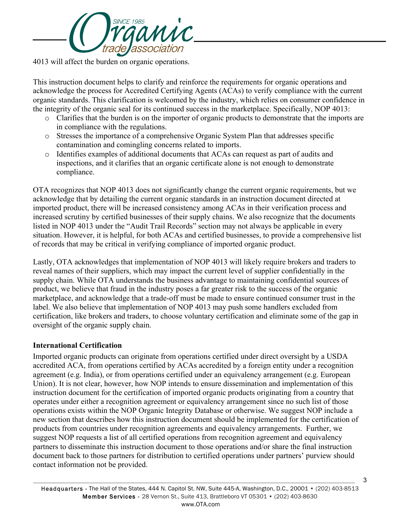

4013 will affect the burden on organic operations.

This instruction document helps to clarify and reinforce the requirements for organic operations and acknowledge the process for Accredited Certifying Agents (ACAs) to verify compliance with the current organic standards. This clarification is welcomed by the industry, which relies on consumer confidence in the integrity of the organic seal for its continued success in the marketplace. Specifically, NOP 4013:

- o Clarifies that the burden is on the importer of organic products to demonstrate that the imports are in compliance with the regulations.
- o Stresses the importance of a comprehensive Organic System Plan that addresses specific contamination and comingling concerns related to imports.
- o Identifies examples of additional documents that ACAs can request as part of audits and inspections, and it clarifies that an organic certificate alone is not enough to demonstrate compliance.

OTA recognizes that NOP 4013 does not significantly change the current organic requirements, but we acknowledge that by detailing the current organic standards in an instruction document directed at imported product, there will be increased consistency among ACAs in their verification process and increased scrutiny by certified businesses of their supply chains. We also recognize that the documents listed in NOP 4013 under the "Audit Trail Records" section may not always be applicable in every situation. However, it is helpful, for both ACAs and certified businesses, to provide a comprehensive list of records that may be critical in verifying compliance of imported organic product.

Lastly, OTA acknowledges that implementation of NOP 4013 will likely require brokers and traders to reveal names of their suppliers, which may impact the current level of supplier confidentially in the supply chain. While OTA understands the business advantage to maintaining confidential sources of product, we believe that fraud in the industry poses a far greater risk to the success of the organic marketplace, and acknowledge that a trade-off must be made to ensure continued consumer trust in the label. We also believe that implementation of NOP 4013 may push some handlers excluded from certification, like brokers and traders, to choose voluntary certification and eliminate some of the gap in oversight of the organic supply chain.

#### **International Certification**

Imported organic products can originate from operations certified under direct oversight by a USDA accredited ACA, from operations certified by ACAs accredited by a foreign entity under a recognition agreement (e.g. India), or from operations certified under an equivalency arrangement (e.g. European Union). It is not clear, however, how NOP intends to ensure dissemination and implementation of this instruction document for the certification of imported organic products originating from a country that operates under either a recognition agreement or equivalency arrangement since no such list of those operations exists within the NOP Organic Integrity Database or otherwise. We suggest NOP include a new section that describes how this instruction document should be implemented for the certification of products from countries under recognition agreements and equivalency arrangements. Further, we suggest NOP requests a list of all certified operations from recognition agreement and equivalency partners to disseminate this instruction document to those operations and/or share the final instruction document back to those partners for distribution to certified operations under partners' purview should contact information not be provided.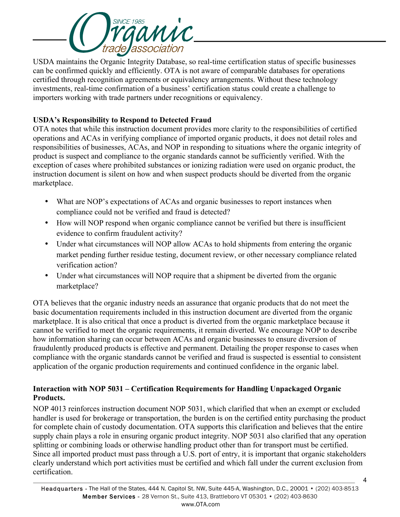

USDA maintains the Organic Integrity Database, so real-time certification status of specific businesses can be confirmed quickly and efficiently. OTA is not aware of comparable databases for operations certified through recognition agreements or equivalency arrangements. Without these technology investments, real-time confirmation of a business' certification status could create a challenge to importers working with trade partners under recognitions or equivalency.

## **USDA's Responsibility to Respond to Detected Fraud**

OTA notes that while this instruction document provides more clarity to the responsibilities of certified operations and ACAs in verifying compliance of imported organic products, it does not detail roles and responsibilities of businesses, ACAs, and NOP in responding to situations where the organic integrity of product is suspect and compliance to the organic standards cannot be sufficiently verified. With the exception of cases where prohibited substances or ionizing radiation were used on organic product, the instruction document is silent on how and when suspect products should be diverted from the organic marketplace.

- What are NOP's expectations of ACAs and organic businesses to report instances when compliance could not be verified and fraud is detected?
- How will NOP respond when organic compliance cannot be verified but there is insufficient evidence to confirm fraudulent activity?
- Under what circumstances will NOP allow ACAs to hold shipments from entering the organic market pending further residue testing, document review, or other necessary compliance related verification action?
- Under what circumstances will NOP require that a shipment be diverted from the organic marketplace?

OTA believes that the organic industry needs an assurance that organic products that do not meet the basic documentation requirements included in this instruction document are diverted from the organic marketplace. It is also critical that once a product is diverted from the organic marketplace because it cannot be verified to meet the organic requirements, it remain diverted. We encourage NOP to describe how information sharing can occur between ACAs and organic businesses to ensure diversion of fraudulently produced products is effective and permanent. Detailing the proper response to cases when compliance with the organic standards cannot be verified and fraud is suspected is essential to consistent application of the organic production requirements and continued confidence in the organic label.

# **Interaction with NOP 5031 – Certification Requirements for Handling Unpackaged Organic Products.**

NOP 4013 reinforces instruction document NOP 5031, which clarified that when an exempt or excluded handler is used for brokerage or transportation, the burden is on the certified entity purchasing the product for complete chain of custody documentation. OTA supports this clarification and believes that the entire supply chain plays a role in ensuring organic product integrity. NOP 5031 also clarified that any operation splitting or combining loads or otherwise handling product other than for transport must be certified. Since all imported product must pass through a U.S. port of entry, it is important that organic stakeholders clearly understand which port activities must be certified and which fall under the current exclusion from certification.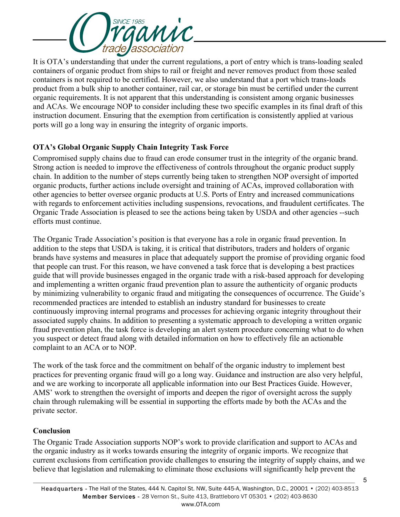

It is OTA's understanding that under the current regulations, a port of entry which is trans-loading sealed containers of organic product from ships to rail or freight and never removes product from those sealed containers is not required to be certified. However, we also understand that a port which trans-loads product from a bulk ship to another container, rail car, or storage bin must be certified under the current organic requirements. It is not apparent that this understanding is consistent among organic businesses and ACAs. We encourage NOP to consider including these two specific examples in its final draft of this instruction document. Ensuring that the exemption from certification is consistently applied at various ports will go a long way in ensuring the integrity of organic imports.

## **OTA's Global Organic Supply Chain Integrity Task Force**

Compromised supply chains due to fraud can erode consumer trust in the integrity of the organic brand. Strong action is needed to improve the effectiveness of controls throughout the organic product supply chain. In addition to the number of steps currently being taken to strengthen NOP oversight of imported organic products, further actions include oversight and training of ACAs, improved collaboration with other agencies to better oversee organic products at U.S. Ports of Entry and increased communications with regards to enforcement activities including suspensions, revocations, and fraudulent certificates. The Organic Trade Association is pleased to see the actions being taken by USDA and other agencies --such efforts must continue.

The Organic Trade Association's position is that everyone has a role in organic fraud prevention. In addition to the steps that USDA is taking, it is critical that distributors, traders and holders of organic brands have systems and measures in place that adequately support the promise of providing organic food that people can trust. For this reason, we have convened a task force that is developing a best practices guide that will provide businesses engaged in the organic trade with a risk-based approach for developing and implementing a written organic fraud prevention plan to assure the authenticity of organic products by minimizing vulnerability to organic fraud and mitigating the consequences of occurrence. The Guide's recommended practices are intended to establish an industry standard for businesses to create continuously improving internal programs and processes for achieving organic integrity throughout their associated supply chains. In addition to presenting a systematic approach to developing a written organic fraud prevention plan, the task force is developing an alert system procedure concerning what to do when you suspect or detect fraud along with detailed information on how to effectively file an actionable complaint to an ACA or to NOP.

The work of the task force and the commitment on behalf of the organic industry to implement best practices for preventing organic fraud will go a long way. Guidance and instruction are also very helpful, and we are working to incorporate all applicable information into our Best Practices Guide. However, AMS' work to strengthen the oversight of imports and deepen the rigor of oversight across the supply chain through rulemaking will be essential in supporting the efforts made by both the ACAs and the private sector.

#### **Conclusion**

The Organic Trade Association supports NOP's work to provide clarification and support to ACAs and the organic industry as it works towards ensuring the integrity of organic imports. We recognize that current exclusions from certification provide challenges to ensuring the integrity of supply chains, and we believe that legislation and rulemaking to eliminate those exclusions will significantly help prevent the